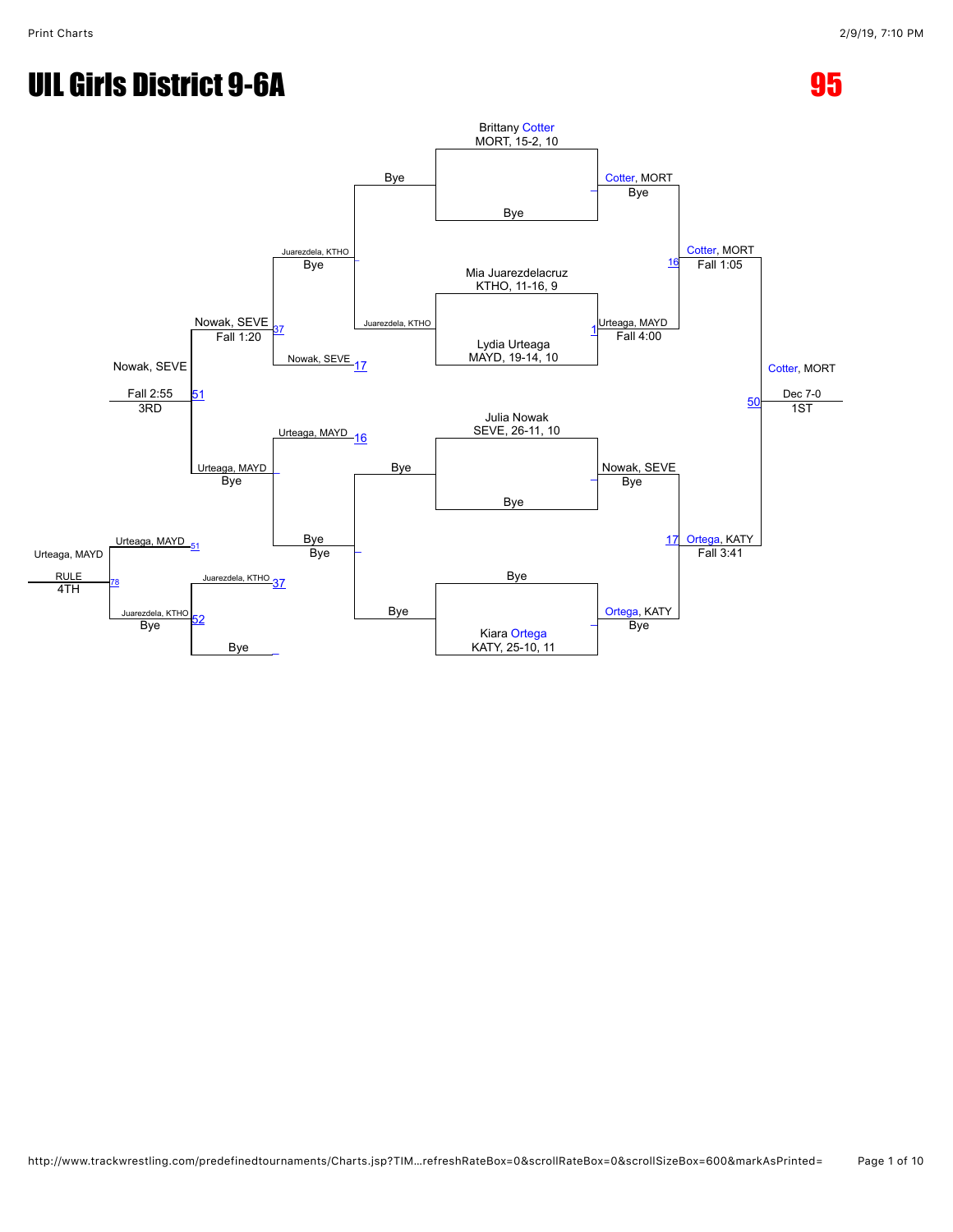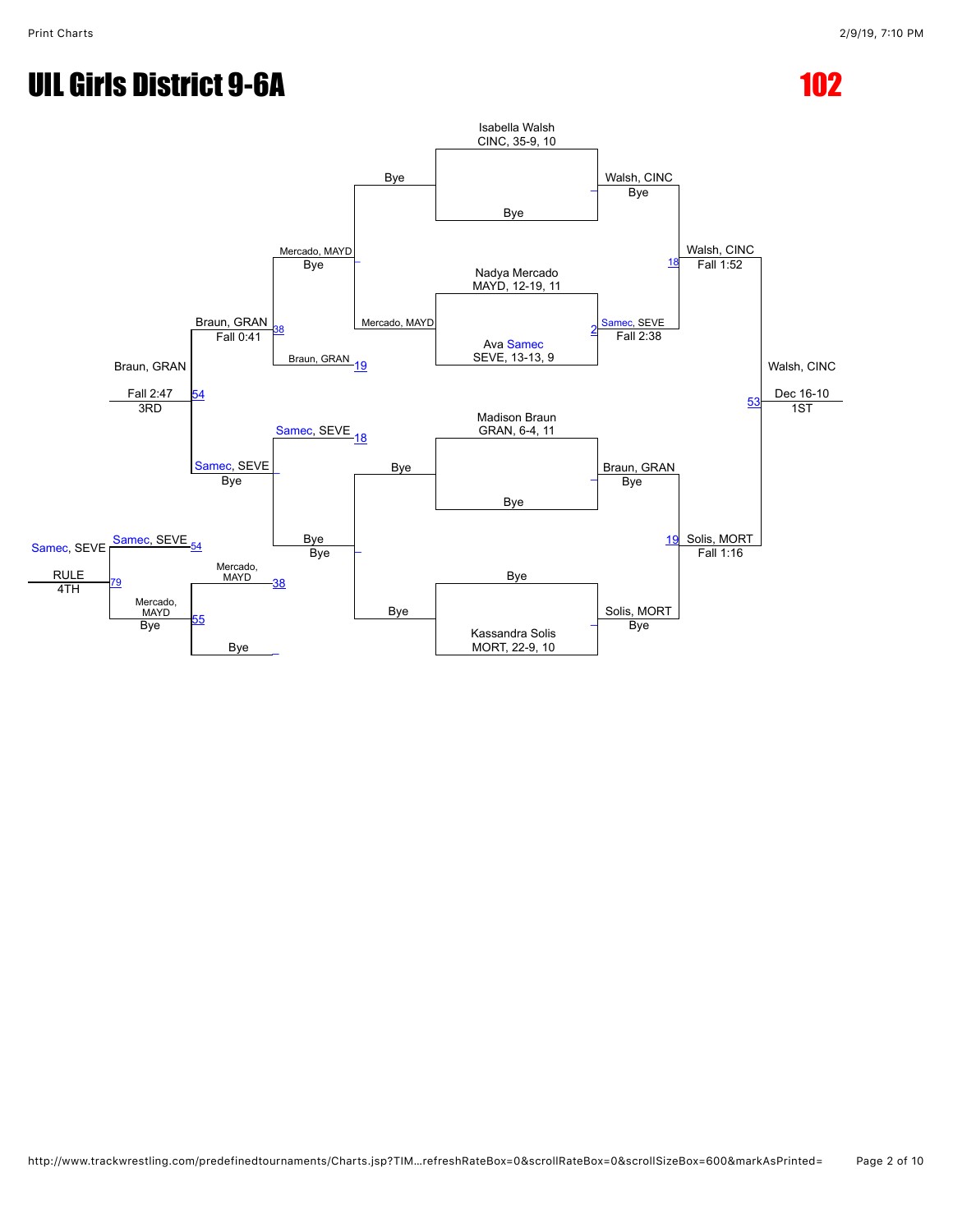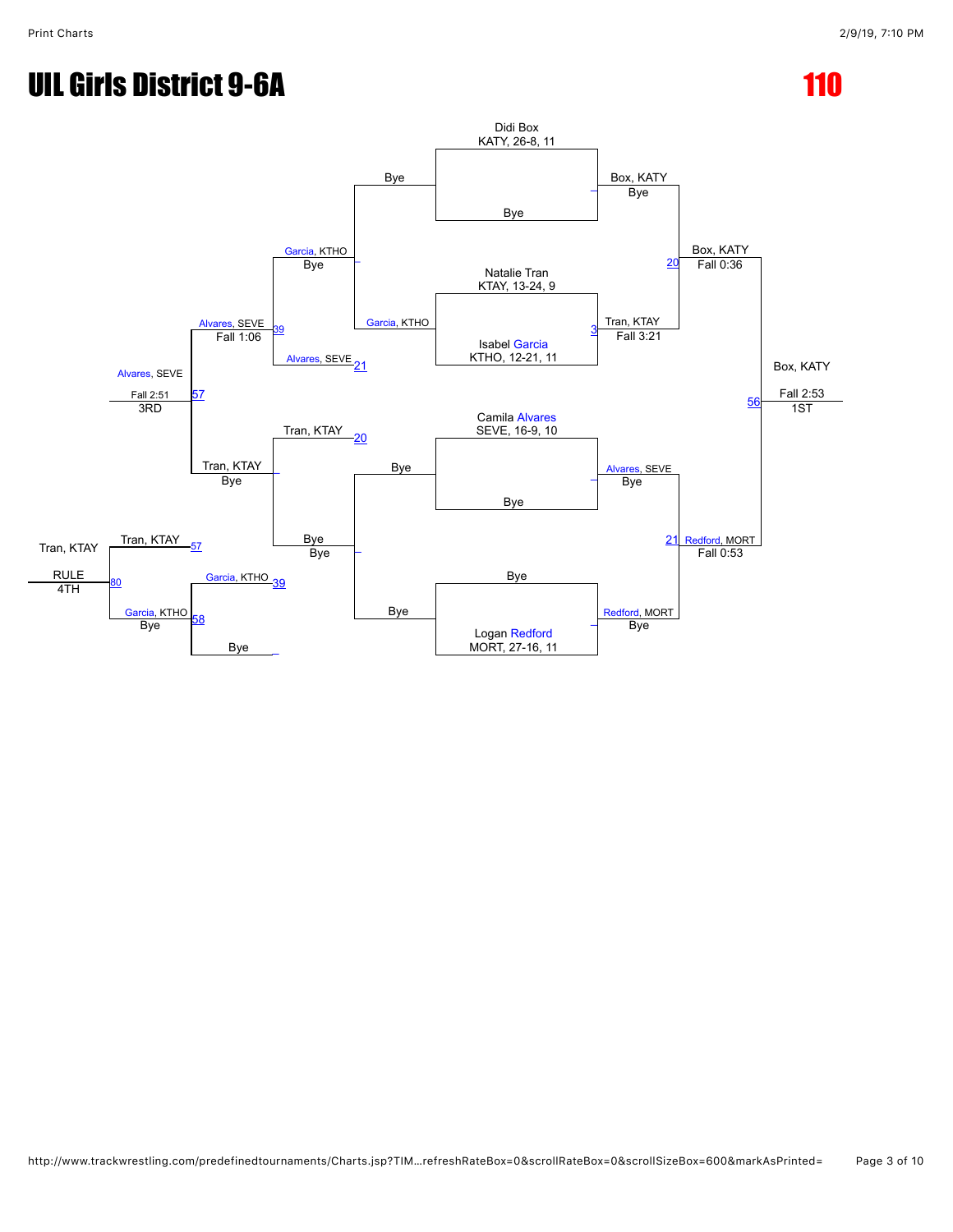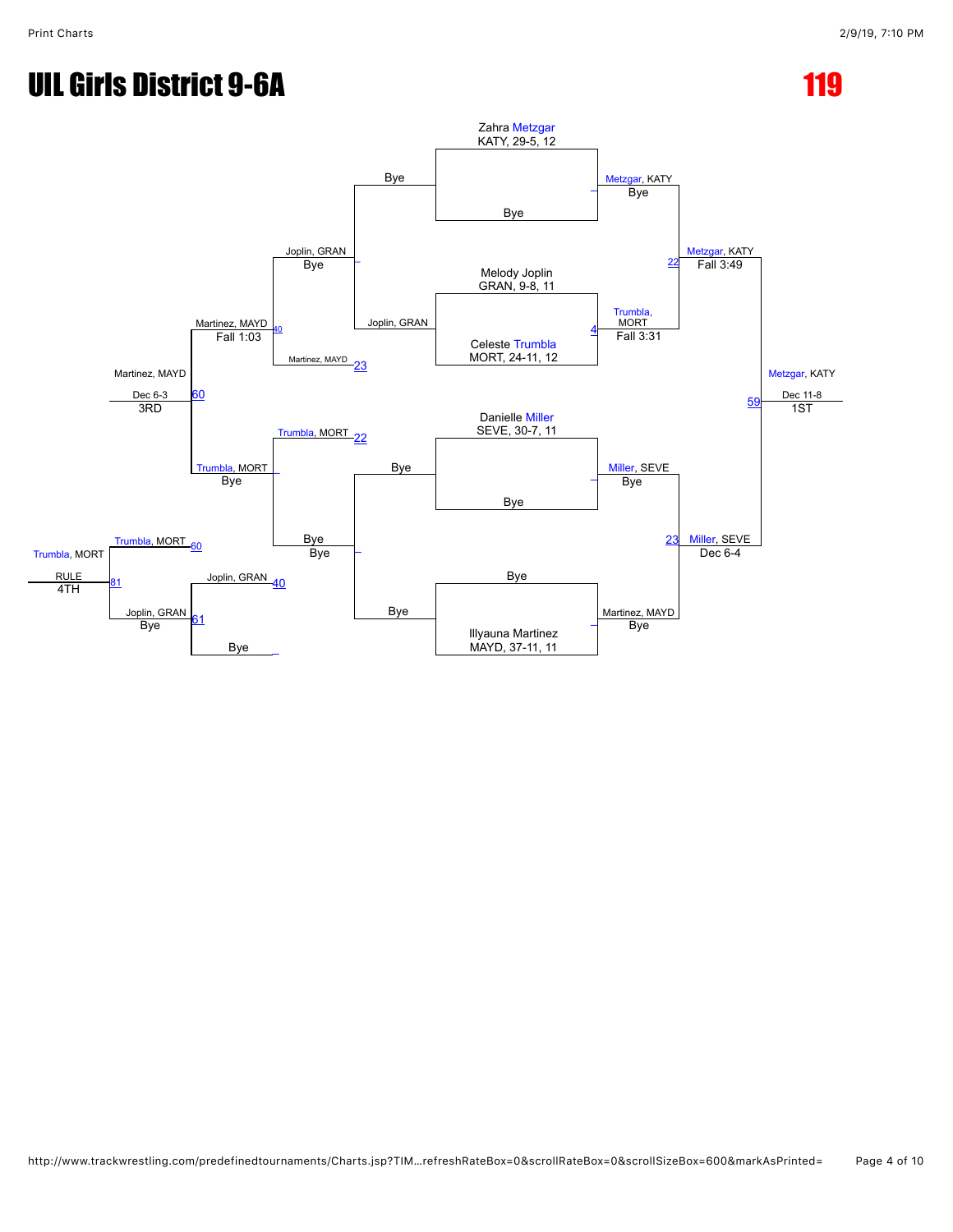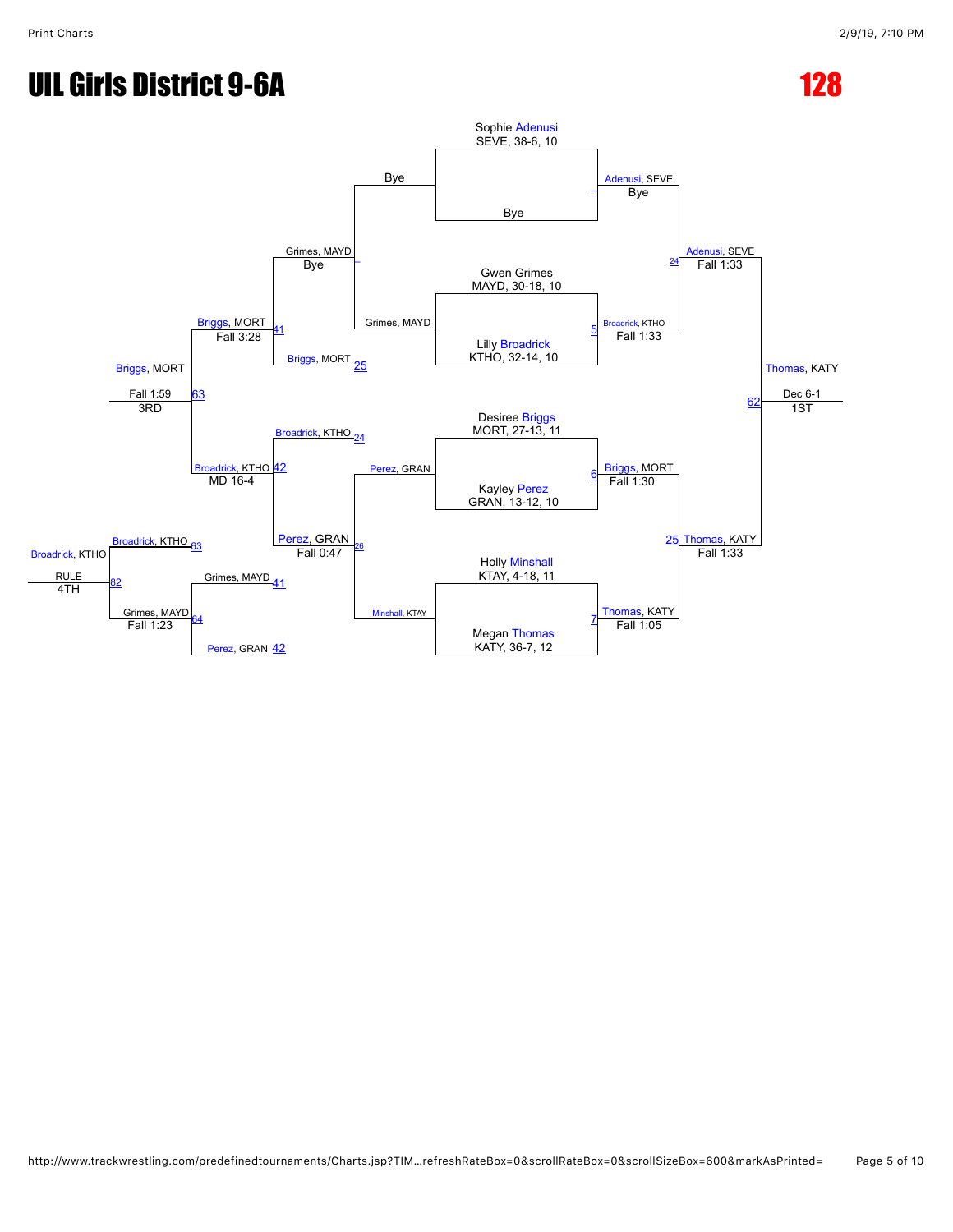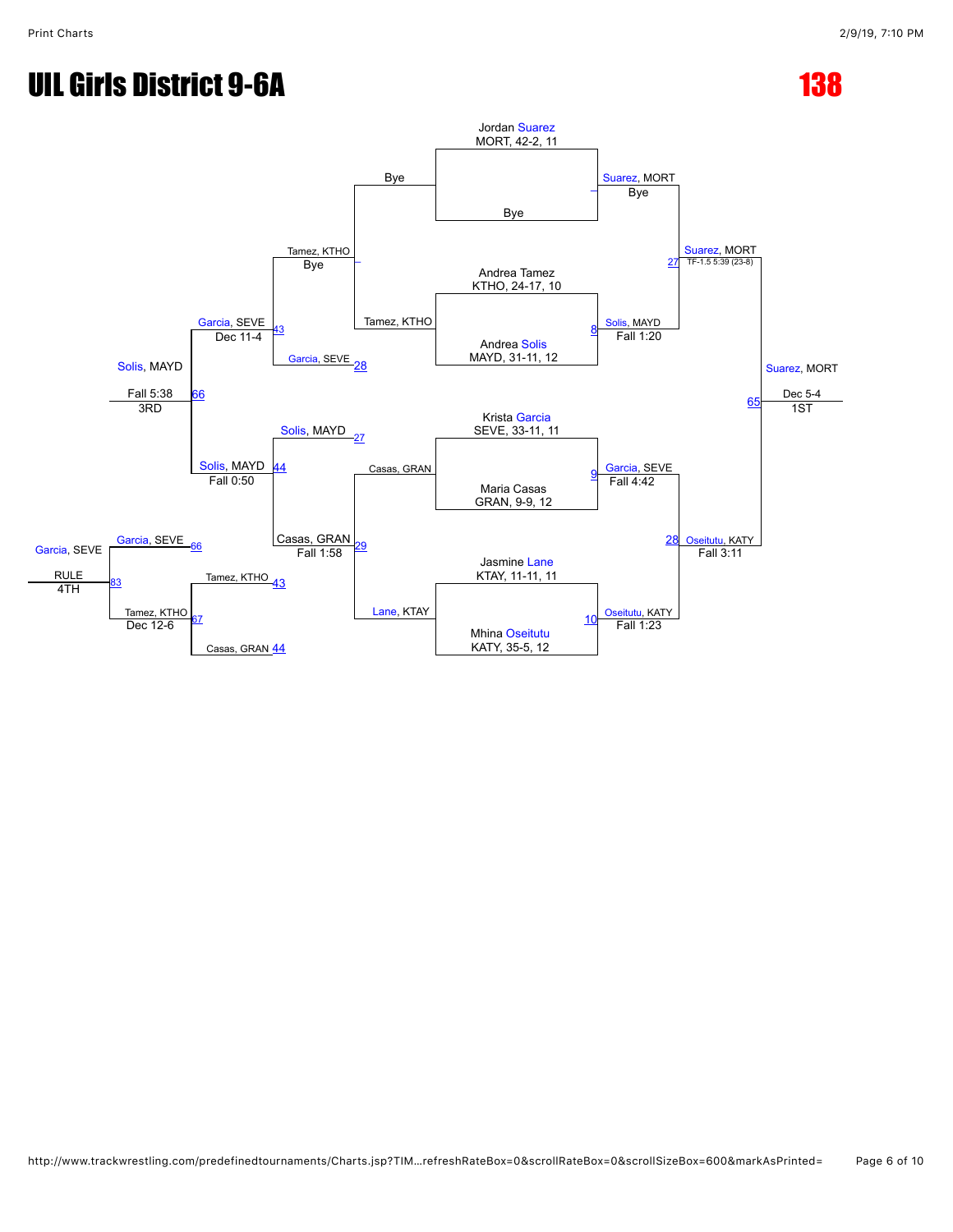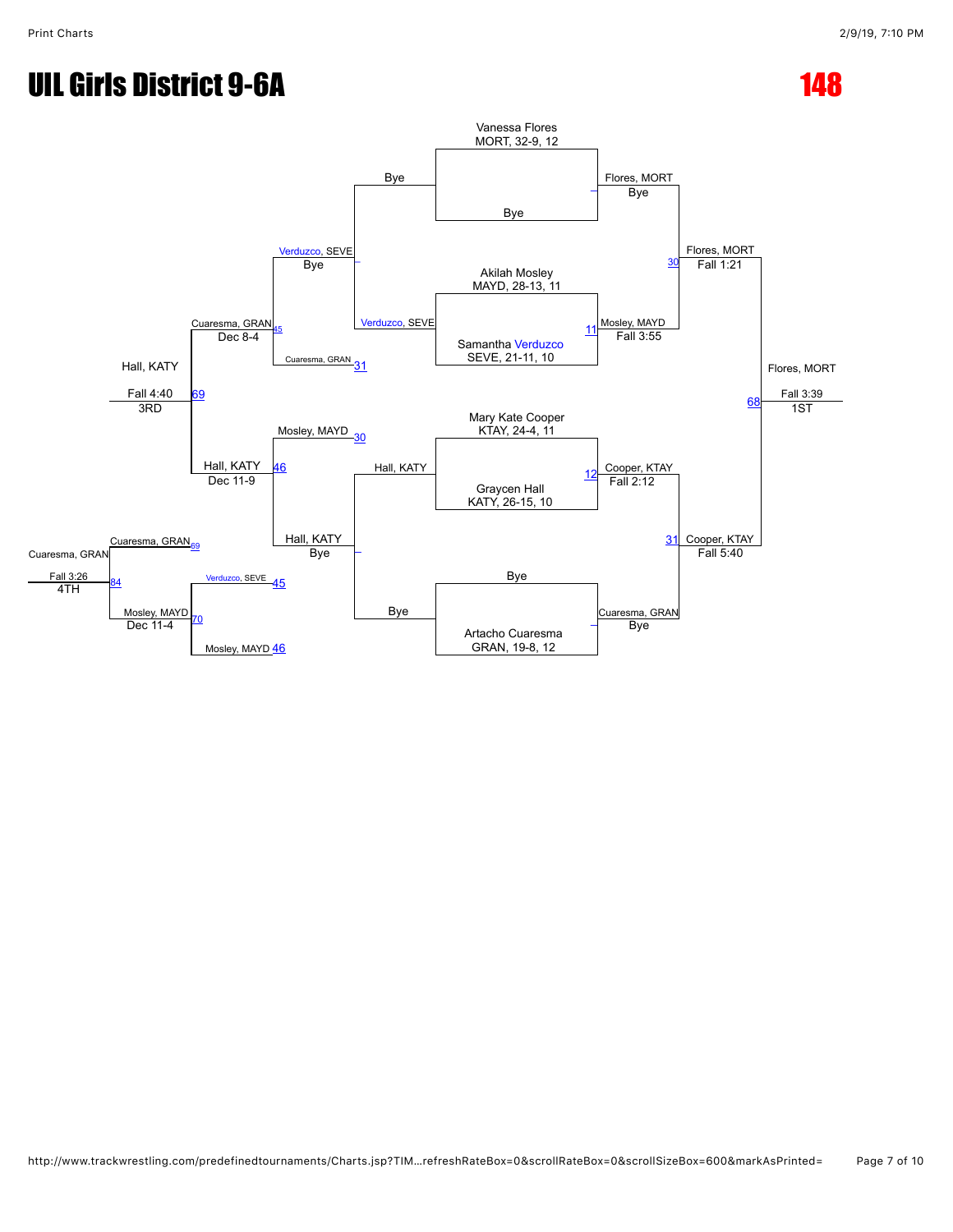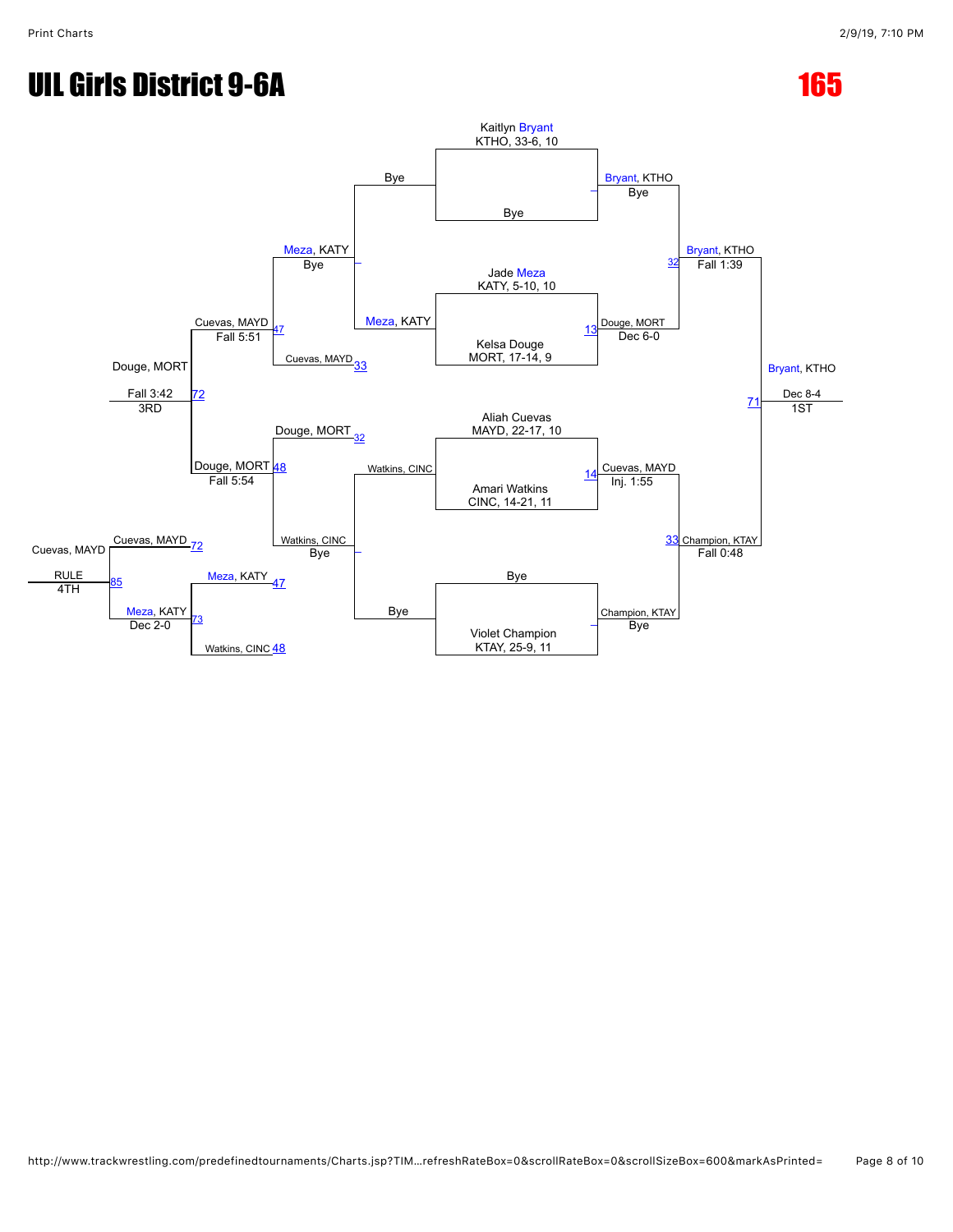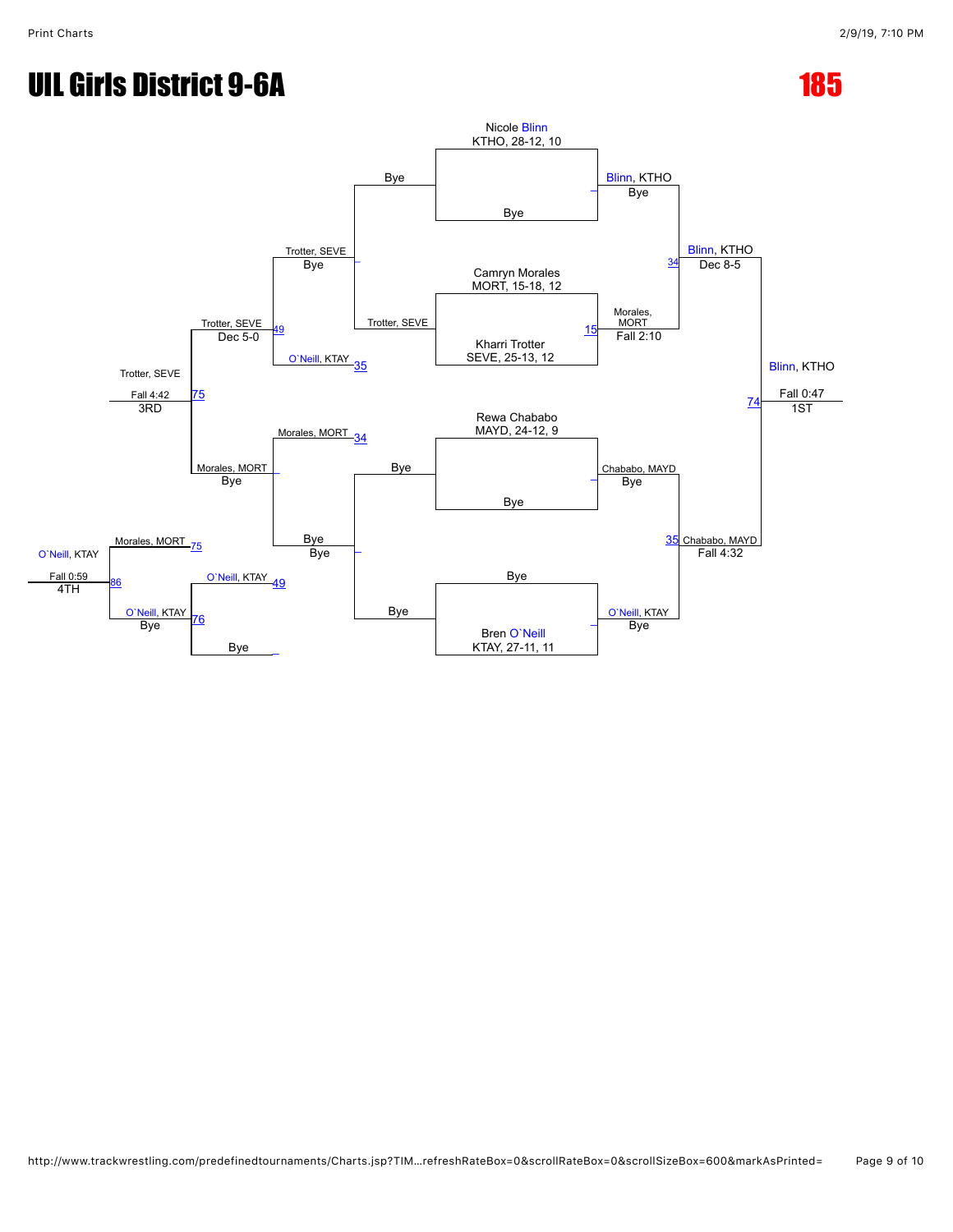